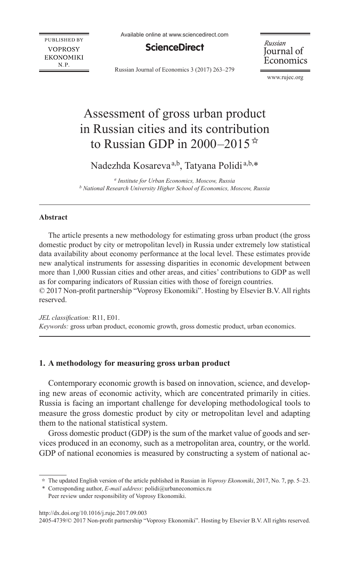Available online at www.sciencedirect.com

**PUBLISHED BY VOPROSY EKONOMIKI**  $N.P.$ 

**ScienceDirect** 

Russian Journal of Economics 3 (2017) 263–279

Russian Journal of Economics

[www.rujec.org](http://www.rujec.org)

# Assessment of gross urban product in Russian cities and its contribution to Russian GDP in 2000–2015 $\star$

Nadezhda Kosareva<sup>a,b</sup>, Tatyana Polidi<sup>a,b,\*</sup>

*a Institute for Urban Economics, Moscow, Russia b National Research University Higher School of Economics, Moscow, Russia*

## **Abstract**

The article presents a new methodology for estimating gross urban product (the gross domestic product by city or metropolitan level) in Russia under extremely low statistical data availability about economy performance at the local level. These estimates provide new analytical instruments for assessing disparities in economic development between more than 1,000 Russian cities and other areas, and cities' contributions to GDP as well as for comparing indicators of Russian cities with those of foreign countries. © 2017 Non-profit partnership "Voprosy Ekonomiki". Hosting by Elsevier B.V. All rights reserved.

*JEL classification:* R11, E01. *Keywords:* gross urban product, economic growth, gross domestic product, urban economics.

## **1. A methodology for measuring gross urban product**

Contemporary economic growth is based on innovation, science, and developing new areas of economic activity, which are concentrated primarily in cities. Russia is facing an important challenge for developing methodological tools to measure the gross domestic product by city or metropolitan level and adapting them to the national statistical system.

Gross domestic product (GDP) is the sum of the market value of goods and services produced in an economy, such as a metropolitan area, country, or the world. GDP of national economies is measured by constructing a system of national ac-

\* Corresponding author, *E-mail address*: polidi@urbaneconomics.ru

Peer review under responsibility of Voprosy Ekonomiki.

http://dx.doi.org/10.1016/j.ruje.2017.09.003

2405-4739/© 2017 Non-profit partnership "Voprosy Ekonomiki". Hosting by Elsevier B.V. All rights reserved.

<sup>✩</sup> The updated English version of the article published in Russian in *Voprosy Ekonomiki*, 2017, No. 7, pp. 5–23.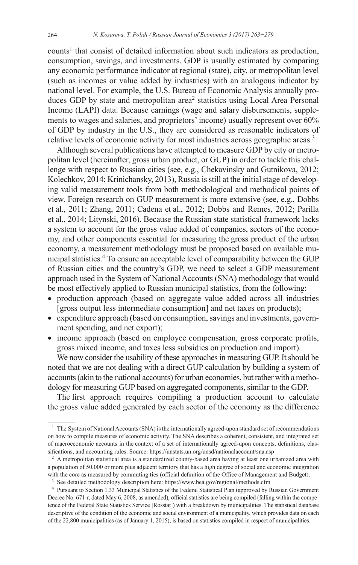counts<sup>1</sup> that consist of detailed information about such indicators as production, consumption, savings, and investments. GDP is usually estimated by comparing any economic performance indicator at regional (state), city, or metropolitan level (such as incomes or value added by industries) with an analogous indicator by national level. For example, the U.S. Bureau of Economic Analysis annually produces GDP by state and metropolitan area<sup>2</sup> statistics using Local Area Personal Income (LAPI) data. Because earnings (wage and salary disbursements, supplements to wages and salaries, and proprietors' income) usually represent over 60% of GDP by industry in the U.S., they are considered as reasonable indicators of relative levels of economic activity for most industries across geographic areas.<sup>3</sup>

Although several publications have attempted to measure GDP by city or metropolitan level (hereinafter, gross urban product, or GUP) in order to tackle this challenge with respect to Russian cities (see, e.g., Chekavinsky and Gutnikova, 2012; Kolechkov, 2014; Krinichansky, 2013), Russia is still at the initial stage of developing valid measurement tools from both methodological and methodical points of view. Foreign research on GUP measurement is more extensive (see, e.g., Dobbs et al., 2011; Zhang, 2011; Cadena et al., 2012; Dobbs and Remes, 2012; Parilla et al., 2014; Litynski, 2016). Because the Russian state statistical framework lacks a system to account for the gross value added of companies, sectors of the economy, and other components essential for measuring the gross product of the urban economy, a measurement methodology must be proposed based on available municipal statistics.4 To ensure an acceptable level of comparability between the GUP of Russian cities and the country's GDP, we need to select a GDP measurement approach used in the System of National Accounts (SNA) methodology that would be most effectively applied to Russian municipal statistics, from the following:

- production approach (based on aggregate value added across all industries [gross output less intermediate consumption] and net taxes on products);
- expenditure approach (based on consumption, savings and investments, government spending, and net export);
- income approach (based on employee compensation, gross corporate profits, gross mixed income, and taxes less subsidies on production and import).

We now consider the usability of these approaches in measuring GUP. It should be noted that we are not dealing with a direct GUP calculation by building a system of accounts (akin to the national accounts) for urban economies, but rather with a methodology for measuring GUP based on aggregated components, similar to the GDP.

The first approach requires compiling a production account to calculate the gross value added generated by each sector of the economy as the difference

<sup>&</sup>lt;sup>1</sup> The System of National Accounts (SNA) is the internationally agreed-upon standard set of recommendations on how to compile measures of economic activity. The SNA describes a coherent, consistent, and integrated set of macroeconomic accounts in the context of a set of internationally agreed-upon concepts, definitions, classifications, and accounting rules. Source:<https://unstats.un.org/unsd/nationalaccount/sna.asp>

<sup>&</sup>lt;sup>2</sup> A metropolitan statistical area is a standardized county-based area having at least one urbanized area with a population of 50,000 or more plus adjacent territory that has a high degree of social and economic integration with the core as measured by commuting ties (official definition of the Office of Management and Budget).

<sup>3</sup> See detailed methodology description here:<https://www.bea.gov/regional/methods.cfm>

<sup>4</sup> Pursuant to Section 1.33 Municipal Statistics of the Federal Statistical Plan (approved by Russian Government Decree No. 671-r, dated May 6, 2008, as amended), official statistics are being compiled (falling within the competence of the Federal State Statistics Service [Rosstat]) with a breakdown by municipalities. The statistical database descriptive of the condition of the economic and social environment of a municipality, which provides data on each of the 22,800 municipalities (as of January 1, 2015), is based on statistics compiled in respect of municipalities.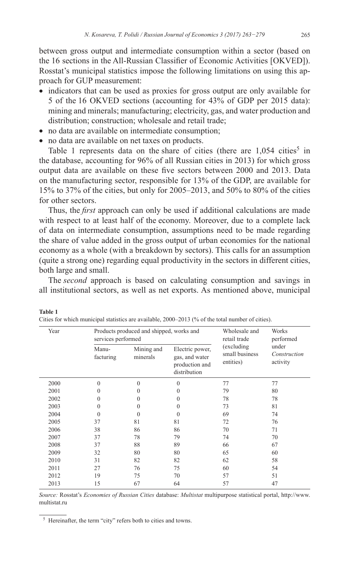between gross output and intermediate consumption within a sector (based on the 16 sections in the All-Russian Classifier of Economic Activities [OKVED]). Rosstat's municipal statistics impose the following limitations on using this approach for GUP measurement:

- indicators that can be used as proxies for gross output are only available for 5 of the 16 OKVED sections (accounting for 43% of GDP per 2015 data): mining and minerals; manufacturing; electricity, gas, and water production and distribution; construction; wholesale and retail trade;
- no data are available on intermediate consumption;
- no data are available on net taxes on products.

**Table 1**

Table 1 represents data on the share of cities (there are  $1,054$  cities<sup>5</sup> in the database, accounting for 96% of all Russian cities in 2013) for which gross output data are available on these five sectors between 2000 and 2013. Data on the manufacturing sector, responsible for 13% of the GDP, are available for 15% to 37% of the cities, but only for 2005–2013, and 50% to 80% of the cities for other sectors.

Thus, the *first* approach can only be used if additional calculations are made with respect to at least half of the economy. Moreover, due to a complete lack of data on intermediate consumption, assumptions need to be made regarding the share of value added in the gross output of urban economies for the national economy as a whole (with a breakdown by sectors). This calls for an assumption (quite a strong one) regarding equal productivity in the sectors in different cities, both large and small.

The *second* approach is based on calculating consumption and savings in all institutional sectors, as well as net exports. As mentioned above, municipal

| Year | Products produced and shipped, works and<br>services performed |                        |                                                                     | Wholesale and<br>retail trade              | Works<br>performed                |
|------|----------------------------------------------------------------|------------------------|---------------------------------------------------------------------|--------------------------------------------|-----------------------------------|
|      | Manu-<br>facturing                                             | Mining and<br>minerals | Electric power,<br>gas, and water<br>production and<br>distribution | (excluding)<br>small business<br>entities) | under<br>Construction<br>activity |
| 2000 | $\mathbf{0}$                                                   | $\Omega$               | $\theta$                                                            | 77                                         | 77                                |
| 2001 | 0                                                              | $\Omega$               | $\theta$                                                            | 79                                         | 80                                |
| 2002 | $\mathbf{0}$                                                   | $\Omega$               | $\theta$                                                            | 78                                         | 78                                |
| 2003 | $\mathbf{0}$                                                   | $\Omega$               | $\mathbf{0}$                                                        | 73                                         | 81                                |
| 2004 | $\theta$                                                       | 0                      | $\mathbf{0}$                                                        | 69                                         | 74                                |
| 2005 | 37                                                             | 81                     | 81                                                                  | 72                                         | 76                                |
| 2006 | 38                                                             | 86                     | 86                                                                  | 70                                         | 71                                |
| 2007 | 37                                                             | 78                     | 79                                                                  | 74                                         | 70                                |
| 2008 | 37                                                             | 88                     | 89                                                                  | 66                                         | 67                                |
| 2009 | 32                                                             | 80                     | 80                                                                  | 65                                         | 60                                |
| 2010 | 31                                                             | 82                     | 82                                                                  | 62                                         | 58                                |
| 2011 | 27                                                             | 76                     | 75                                                                  | 60                                         | 54                                |
| 2012 | 19                                                             | 75                     | 70                                                                  | 57                                         | 51                                |
| 2013 | 15                                                             | 67                     | 64                                                                  | 57                                         | 47                                |

| Cities for which municipal statistics are available, $2000-2013$ (% of the total number of cities). |  |  |  |
|-----------------------------------------------------------------------------------------------------|--|--|--|
|-----------------------------------------------------------------------------------------------------|--|--|--|

*Source:* Rosstat's *Economies of Russian Cities* database: *Multistat* multipurpose statistical portal, [http://www.](http://www.multistat.ru) [multistat.ru](http://www.multistat.ru)

<sup>5</sup> Hereinafter, the term "city" refers both to cities and towns.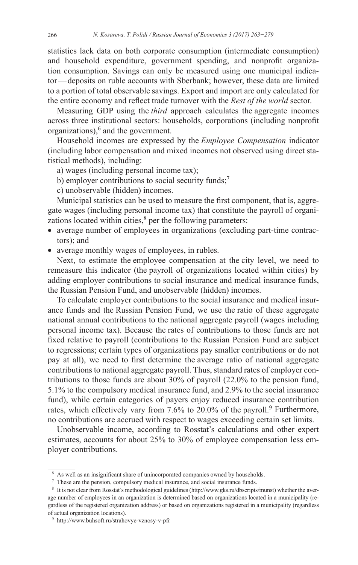statistics lack data on both corporate consumption (intermediate consumption) and household expenditure, government spending, and nonprofit organization consumption. Savings can only be measured using one municipal indicator—deposits on ruble accounts with Sberbank; however, these data are limited to a portion of total observable savings. Export and import are only calculated for the entire economy and reflect trade turnover with the *Rest of the world* sector.

Measuring GDP using the *third* approach calculates the aggregate incomes across three institutional sectors: households, corporations (including nonprofit organizations),<sup>6</sup> and the government.

Household incomes are expressed by the *Employee Compensation* indicator (including labor compensation and mixed incomes not observed using direct statistical methods), including:

- a) wages (including personal income tax);
- b) employer contributions to social security funds; $\frac{7}{2}$
- c) unobservable (hidden) incomes.

Municipal statistics can be used to measure the first component, that is, aggregate wages (including personal income tax) that constitute the payroll of organizations located within cities, $<sup>8</sup>$  per the following parameters:</sup>

- average number of employees in organizations (excluding part-time contractors); and
- average monthly wages of employees, in rubles.

Next, to estimate the employee compensation at the city level, we need to remeasure this indicator (the payroll of organizations located within cities) by adding employer contributions to social insurance and medical insurance funds, the Russian Pension Fund, and unobservable (hidden) incomes.

To calculate employer contributions to the social insurance and medical insurance funds and the Russian Pension Fund, we use the ratio of these aggregate national annual contributions to the national aggregate payroll (wages including personal income tax). Because the rates of contributions to those funds are not fixed relative to payroll (contributions to the Russian Pension Fund are subject to regressions; certain types of organizations pay smaller contributions or do not pay at all), we need to first determine the average ratio of national aggregate contributions to national aggregate payroll. Thus, standard rates of employer contributions to those funds are about 30% of payroll (22.0% to the pension fund, 5.1% to the compulsory medical insurance fund, and 2.9% to the social insurance fund), while certain categories of payers enjoy reduced insurance contribution rates, which effectively vary from 7.6% to 20.0% of the payroll.<sup>9</sup> Furthermore, no contributions are accrued with respect to wages exceeding certain set limits.

Unobservable income, according to Rosstat's calculations and other expert estimates, accounts for about 25% to 30% of employee compensation less employer contributions.

<sup>6</sup> As well as an insignificant share of unincorporated companies owned by households.

<sup>7</sup> These are the pension, compulsory medical insurance, and social insurance funds.

<sup>8</sup> It is not clear from Rosstat's methodological guidelines [\(http://www.gks.ru/dbscripts/munst](http://www.gks.ru/dbscripts/munst)) whether the average number of employees in an organization is determined based on organizations located in a municipality (regardless of the registered organization address) or based on organizations registered in a municipality (regardless of actual organization locations).

<sup>9</sup> <http://www.buhsoft.ru/strahovye-vznosy-v-pfr>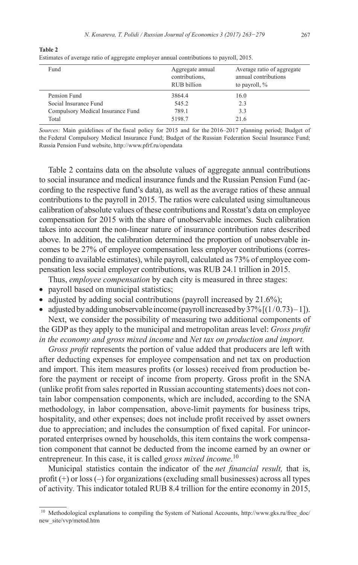| Aggregate annual<br>contributions.<br>RUB billion | Average ratio of aggregate<br>annual contributions<br>to payroll, % |
|---------------------------------------------------|---------------------------------------------------------------------|
| 3864.4                                            | 16.0                                                                |
| 545.2                                             | 2.3                                                                 |
| 789.1                                             | 3.3                                                                 |
| 5198.7                                            | 21.6                                                                |
|                                                   |                                                                     |

**Table 2** Estimates of average ratio of aggregate employer annual contributions to payroll, 2015.

*Sources:* Main guidelines of the fiscal policy for 2015 and for the 2016–2017 planning period; Budget of the Federal Compulsory Medical Insurance Fund; Budget of the Russian Federation Social Insurance Fund; Russia Pension Fund website, [http://www.pfrf.ru/opendata](http://www.pfrf.ru/opendata/)

Table 2 contains data on the absolute values of aggregate annual contributions to social insurance and medical insurance funds and the Russian Pension Fund (according to the respective fund's data), as well as the average ratios of these annual contributions to the payroll in 2015. The ratios were calculated using simultaneous calibration of absolute values of these contributions and Rosstat's data on employee compensation for 2015 with the share of unobservable incomes. Such calibration takes into account the non-linear nature of insurance contribution rates described above. In addition, the calibration determined the proportion of unobservable incomes to be 27% of employee compensation less employer contributions (corresponding to available estimates), while payroll, calculated as 73% of employee compensation less social employer contributions, was RUB 24.1 trillion in 2015.

Thus, *employee compensation* by each city is measured in three stages:

- payroll based on municipal statistics;
- adjusted by adding social contributions (payroll increased by  $21.6\%$ );
- adjusted by adding unobservable income (payroll increased by  $37\frac{1}{1}(1/0.73) 1$ ). Next, we consider the possibility of measuring two additional components of

the GDP as they apply to the municipal and metropolitan areas level: *Gross profit in the economy and gross mixed income* and *Net tax on production and import.*

*Gross profit* represents the portion of value added that producers are left with after deducting expenses for employee compensation and net tax on production and import. This item measures profits (or losses) received from production before the payment or receipt of income from property. Gross profit in the SNA (unlike profit from sales reported in Russian accounting statements) does not contain labor compensation components, which are included, according to the SNA methodology, in labor compensation, above-limit payments for business trips, hospitality, and other expenses; does not include profit received by asset owners due to appreciation; and includes the consumption of fixed capital. For unincorporated enterprises owned by households, this item contains the work compensation component that cannot be deducted from the income earned by an owner or entrepreneur. In this case, it is called *gross mixed income*. 10

Municipal statistics contain the indicator of the *net financial result,* that is, profit (+) or loss (–) for organizations (excluding small businesses) across all types of activity*.* This indicator totaled RUB 8.4 trillion for the entire economy in 2015,

<sup>&</sup>lt;sup>10</sup> Methodological explanations to compiling the System of National Accounts, [http://www.gks.ru/free\\_doc/](http://www.gks.ru/free_doc/new_site/vvp/metod.htm) [new\\_site/vvp/metod.htm](http://www.gks.ru/free_doc/new_site/vvp/metod.htm)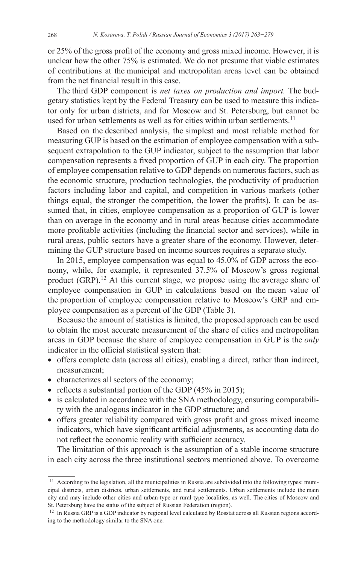or 25% of the gross profit of the economy and gross mixed income. However, it is unclear how the other 75% is estimated. We do not presume that viable estimates of contributions at the municipal and metropolitan areas level can be obtained from the net financial result in this case.

The third GDP component is *net taxes on production and import.* The budgetary statistics kept by the Federal Treasury can be used to measure this indicator only for urban districts, and for Moscow and St. Petersburg, but cannot be used for urban settlements as well as for cities within urban settlements.<sup>11</sup>

Based on the described analysis, the simplest and most reliable method for measuring GUP is based on the estimation of employee compensation with a subsequent extrapolation to the GUP indicator, subject to the assumption that labor compensation represents a fixed proportion of GUP in each city. The proportion of employee compensation relative to GDP depends on numerous factors, such as the economic structure, production technologies, the productivity of production factors including labor and capital, and competition in various markets (other things equal, the stronger the competition, the lower the profits). It can be assumed that, in cities, employee compensation as a proportion of GUP is lower than on average in the economy and in rural areas because cities accommodate more profitable activities (including the financial sector and services), while in rural areas, public sectors have a greater share of the economy. However, determining the GUP structure based on income sources requires a separate study.

In 2015, employee compensation was equal to 45.0% of GDP across the economy, while, for example, it represented 37.5% of Moscow's gross regional product  $(GRP)$ <sup>12</sup> At this current stage, we propose using the average share of employee compensation in GUP in calculations based on the mean value of the proportion of employee compensation relative to Moscow's GRP and employee compensation as a percent of the GDP (Table 3).

Because the amount of statistics is limited, the proposed approach can be used to obtain the most accurate measurement of the share of cities and metropolitan areas in GDP because the share of employee compensation in GUP is the *only* indicator in the official statistical system that:

- • offers complete data (across all cities), enabling a direct, rather than indirect, measurement;
- characterizes all sectors of the economy;
- reflects a substantial portion of the GDP (45% in 2015);
- is calculated in accordance with the SNA methodology, ensuring comparability with the analogous indicator in the GDP structure; and
- • offers greater reliability compared with gross profit and gross mixed income indicators, which have significant artificial adjustments, as accounting data do not reflect the economic reality with sufficient accuracy.

The limitation of this approach is the assumption of a stable income structure in each city across the three institutional sectors mentioned above. To overcome

<sup>&</sup>lt;sup>11</sup> According to the legislation, all the municipalities in Russia are subdivided into the following types: municipal districts, urban districts, urban settlements, and rural settlements. Urban settlements include the main city and may include other cities and urban-type or rural-type localities, as well. The cities of Moscow and St. Petersburg have the status of the subject of Russian Federation (region).<br><sup>12</sup> In Russia GRP is a GDP indicator by regional level calculated by Rosstat across all Russian regions accord-

ing to the methodology similar to the SNA one.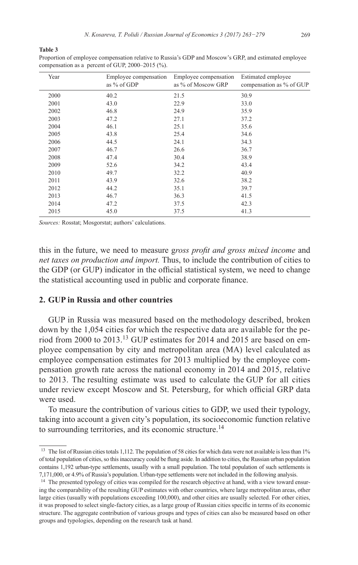#### **Table 3**

Proportion of employee compensation relative to Russia's GDP and Moscow's GRP, and estimated employee compensation as a percent of GUP, 2000–2015 (%).

| Year | Employee compensation<br>as % of GDP | Employee compensation<br>as % of Moscow GRP | Estimated employee<br>compensation as % of GUP |
|------|--------------------------------------|---------------------------------------------|------------------------------------------------|
| 2000 | 40.2                                 | 21.5                                        | 30.9                                           |
| 2001 | 43.0                                 | 22.9                                        | 33.0                                           |
| 2002 | 46.8                                 | 24.9                                        | 35.9                                           |
| 2003 | 47.2                                 | 27.1                                        | 37.2                                           |
| 2004 | 46.1                                 | 25.1                                        | 35.6                                           |
| 2005 | 43.8                                 | 25.4                                        | 34.6                                           |
| 2006 | 44.5                                 | 24.1                                        | 34.3                                           |
| 2007 | 46.7                                 | 26.6                                        | 36.7                                           |
| 2008 | 47.4                                 | 30.4                                        | 38.9                                           |
| 2009 | 52.6                                 | 34.2                                        | 43.4                                           |
| 2010 | 49.7                                 | 32.2                                        | 40.9                                           |
| 2011 | 43.9                                 | 32.6                                        | 38.2                                           |
| 2012 | 44.2                                 | 35.1                                        | 39.7                                           |
| 2013 | 46.7                                 | 36.3                                        | 41.5                                           |
| 2014 | 47.2                                 | 37.5                                        | 42.3                                           |
| 2015 | 45.0                                 | 37.5                                        | 41.3                                           |

*Sources:* Rosstat; Mosgorstat; authors' calculations.

this in the future, we need to measure g*ross profit and gross mixed income* and *net taxes on production and import.* Thus, to include the contribution of cities to the GDP (or GUP) indicator in the official statistical system, we need to change the statistical accounting used in public and corporate finance.

## **2. GUP in Russia and other countries**

GUP in Russia was measured based on the methodology described, broken down by the 1,054 cities for which the respective data are available for the period from 2000 to 2013.<sup>13</sup> GUP estimates for 2014 and 2015 are based on employee compensation by city and metropolitan area (MA) level calculated as employee compensation estimates for 2013 multiplied by the employee compensation growth rate across the national economy in 2014 and 2015, relative to 2013. The resulting estimate was used to calculate the GUP for all cities under review except Moscow and St. Petersburg, for which official GRP data were used.

To measure the contribution of various cities to GDP, we used their typology, taking into account a given city's population, its socioeconomic function relative to surrounding territories, and its economic structure.<sup>14</sup>

<sup>&</sup>lt;sup>13</sup> The list of Russian cities totals 1,112. The population of 58 cities for which data were not available is less than 1% of total population of cities, so this inaccuracy could be flung aside. In addition to cities, the Russian urban population contains 1,192 urban-type settlements, usually with a small population. The total population of such settlements is 7,171,000, or 4.9% of Russia's population. Urban-type settlements were not included in the following analysis. 14 The presented typology of cities was compiled for the research objective at hand, with a view toward ensur-

ing the comparability of the resulting GUP estimates with other countries, where large metropolitan areas, other large cities (usually with populations exceeding 100,000), and other cities are usually selected. For other cities, it was proposed to select single-factory cities, as a large group of Russian cities specific in terms of its economic structure. The aggregate contribution of various groups and types of cities can also be measured based on other groups and typologies, depending on the research task at hand.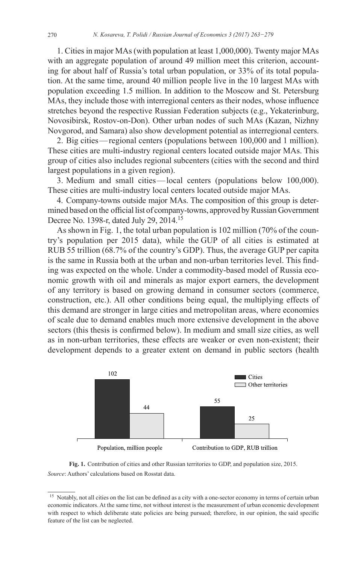1. Cities in major MAs (with population at least 1,000,000). Twenty major MAs with an aggregate population of around 49 million meet this criterion, accounting for about half of Russia's total urban population, or 33% of its total population. At the same time, around 40 million people live in the 10 largest MAs with population exceeding 1.5 million. In addition to the Moscow and St. Petersburg MAs, they include those with interregional centers as their nodes, whose influence stretches beyond the respective Russian Federation subjects (e.g., Yekaterinburg, Novosibirsk, Rostov-on-Don). Other urban nodes of such MAs (Kazan, Nizhny Novgorod, and Samara) also show development potential as interregional centers.

2. Big cities—regional centers (populations between 100,000 and 1 million). These cities are multi-industry regional centers located outside major MAs. This group of cities also includes regional subcenters (cities with the second and third largest populations in a given region).

3. Medium and small cities—local centers (populations below 100,000). These cities are multi-industry local centers located outside major MAs.

4. Company-towns outside major MAs. The composition of this group is determined based on the official list of company-towns, approved by Russian Government Decree No. 1398-r, dated July 29, 2014.<sup>15</sup>

As shown in Fig. 1, the total urban population is 102 million (70% of the country's population per 2015 data), while the GUP of all cities is estimated at RUB 55 trillion (68.7% of the country's GDP). Thus, the average GUP per capita is the same in Russia both at the urban and non-urban territories level. This finding was expected on the whole. Under a commodity-based model of Russia economic growth with oil and minerals as major export earners, the development of any territory is based on growing demand in consumer sectors (commerce, construction, etc.). All other conditions being equal, the multiplying effects of this demand are stronger in large cities and metropolitan areas, where economies of scale due to demand enables much more extensive development in the above sectors (this thesis is confirmed below). In medium and small size cities, as well as in non-urban territories, these effects are weaker or even non-existent; their development depends to a greater extent on demand in public sectors (health





<sup>&</sup>lt;sup>15</sup> Notably, not all cities on the list can be defined as a city with a one-sector economy in terms of certain urban economic indicators. At the same time, not without interest is the measurement of urban economic development with respect to which deliberate state policies are being pursued; therefore, in our opinion, the said specific feature of the list can be neglected.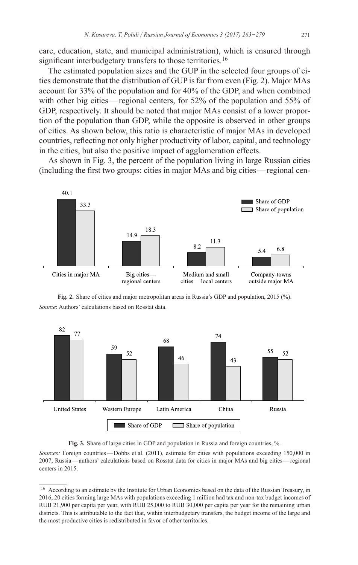care, education, state, and municipal administration), which is ensured through significant interbudgetary transfers to those territories.<sup>16</sup>

The estimated population sizes and the GUP in the selected four groups of cities demonstrate that the distribution of GUP is far from even (Fig. 2). Major MAs account for 33% of the population and for 40% of the GDP, and when combined with other big cities—regional centers, for 52% of the population and 55% of GDP, respectively. It should be noted that major MAs consist of a lower proportion of the population than GDP, while the opposite is observed in other groups of cities. As shown below, this ratio is characteristic of major MAs in developed countries, reflecting not only higher productivity of labor, capital, and technology in the cities, but also the positive impact of agglomeration effects.

As shown in Fig. 3, the percent of the population living in large Russian cities (including the first two groups: cities in major MAs and big cities—regional cen-



**Fig. 2.** Share of cities and major metropolitan areas in Russia's GDP and population, 2015 (%). *Source*: Authors' calculations based on Rosstat data.





*Sources:* Foreign countries—Dobbs et al. (2011), estimate for cities with populations exceeding 150,000 in 2007; Russia—authors' calculations based on Rosstat data for cities in major MAs and big cities—regional centers in 2015.

<sup>&</sup>lt;sup>16</sup> According to an estimate by the Institute for Urban Economics based on the data of the Russian Treasury, in 2016, 20 cities forming large MAs with populations exceeding 1 million had tax and non-tax budget incomes of RUB 21,900 per capita per year, with RUB 25,000 to RUB 30,000 per capita per year for the remaining urban districts. This is attributable to the fact that, within interbudgetary transfers, the budget income of the large and the most productive cities is redistributed in favor of other territories.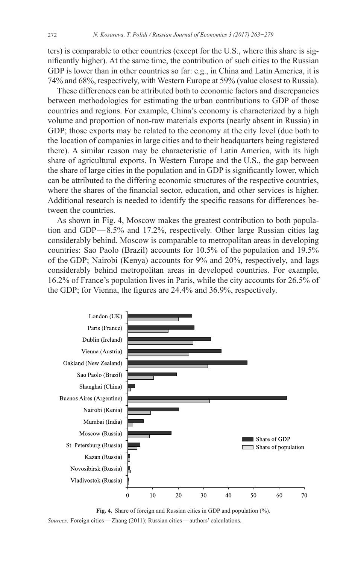ters) is comparable to other countries (except for the U.S., where this share is significantly higher). At the same time, the contribution of such cities to the Russian GDP is lower than in other countries so far: e.g., in China and Latin America, it is 74% and 68%, respectively, with Western Europe at 59% (value closest to Russia).

These differences can be attributed both to economic factors and discrepancies between methodologies for estimating the urban contributions to GDP of those countries and regions. For example, China's economy is characterized by a high volume and proportion of non-raw materials exports (nearly absent in Russia) in GDP; those exports may be related to the economy at the city level (due both to the location of companies in large cities and to their headquarters being registered there). A similar reason may be characteristic of Latin America, with its high share of agricultural exports. In Western Europe and the U.S., the gap between the share of large cities in the population and in GDP is significantly lower, which can be attributed to the differing economic structures of the respective countries, where the shares of the financial sector, education, and other services is higher. Additional research is needed to identify the specific reasons for differences between the countries.

As shown in Fig. 4, Moscow makes the greatest contribution to both population and GDP—8.5% and 17.2%, respectively. Other large Russian cities lag considerably behind. Moscow is comparable to metropolitan areas in developing countries: Sao Paolo (Brazil) accounts for 10.5% of the population and 19.5% of the GDP; Nairobi (Kenya) accounts for 9% and 20%, respectively, and lags considerably behind metropolitan areas in developed countries. For example, 16.2% of France's population lives in Paris, while the city accounts for 26.5% of the GDP; for Vienna, the figures are 24.4% and 36.9%, respectively.



**Fig. 4.** Share of foreign and Russian cities in GDP and population (%). *Sources:* Foreign cities—Zhang (2011); Russian cities—authors' calculations.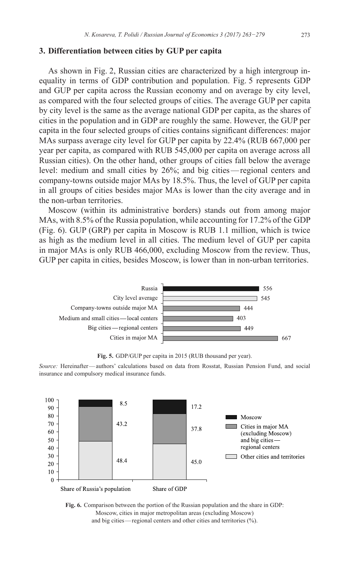## **3. Differentiation between cities by GUP per capita**

As shown in Fig. 2, Russian cities are characterized by a high intergroup inequality in terms of GDP contribution and population. Fig. 5 represents GDP and GUP per capita across the Russian economy and on average by city level, as compared with the four selected groups of cities. The average GUP per capita by city level is the same as the average national GDP per capita, as the shares of cities in the population and in GDP are roughly the same. However, the GUP per capita in the four selected groups of cities contains significant differences: major MAs surpass average city level for GUP per capita by 22.4% (RUB 667,000 per year per capita, as compared with RUB 545,000 per capita on average across all Russian cities). On the other hand, other groups of cities fall below the average level: medium and small cities by 26%; and big cities—regional centers and company-towns outside major MAs by 18.5%. Thus, the level of GUP per capita in all groups of cities besides major MAs is lower than the city average and in the non-urban territories.

Moscow (within its administrative borders) stands out from among major MAs, with 8.5% of the Russia population, while accounting for 17.2% of the GDP (Fig. 6). GUP (GRP) per capita in Moscow is RUB 1.1 million, which is twice as high as the medium level in all cities. The medium level of GUP per capita in major MAs is only RUB 466,000, excluding Moscow from the review. Thus, GUP per capita in cities, besides Moscow, is lower than in non-urban territories.



**Fig. 5.** GDP/GUP per capita in 2015 (RUB thousand per year).

*Source:* Hereinafter—authors' calculations based on data from Rosstat, Russian Pension Fund, and social insurance and compulsory medical insurance funds.



**Fig. 6.** Comparison between the portion of the Russian population and the share in GDP: Moscow, cities in major metropolitan areas (excluding Moscow) and big cities—regional centers and other cities and territories (%).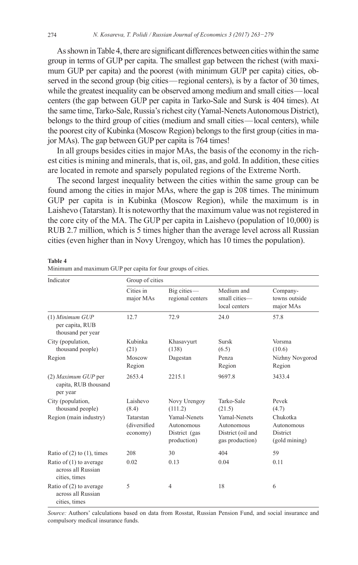As shown in Table 4, there are significant differences between cities within the same group in terms of GUP per capita. The smallest gap between the richest (with maximum GUP per capita) and the poorest (with minimum GUP per capita) cities, observed in the second group (big cities—regional centers), is by a factor of 30 times, while the greatest inequality can be observed among medium and small cities—local centers (the gap between GUP per capita in Tarko-Sale and Sursk is 404 times). At the same time, Tarko-Sale, Russia's richest city (Yamal-Nenets Autonomous District), belongs to the third group of cities (medium and small cities—local centers), while the poorest city of Kubinka (Moscow Region) belongs to the first group (cities in major MAs). The gap between GUP per capita is 764 times!

In all groups besides cities in major MAs, the basis of the economy in the richest cities is mining and minerals, that is, oil, gas, and gold. In addition, these cities are located in remote and sparsely populated regions of the Extreme North.

The second largest inequality between the cities within the same group can be found among the cities in major MAs, where the gap is 208 times. The minimum GUP per capita is in Kubinka (Moscow Region), while the maximum is in Laishevo (Tatarstan). It is noteworthy that the maximum value was not registered in the core city of the MA. The GUP per capita in Laishevo (population of 10,000) is RUB 2.7 million, which is 5 times higher than the average level across all Russian cities (even higher than in Novy Urengoy, which has 10 times the population).

#### **Table 4**

| Indicator                                                        | Group of cities                       |                                                                   |                                                                           |                                                     |  |  |
|------------------------------------------------------------------|---------------------------------------|-------------------------------------------------------------------|---------------------------------------------------------------------------|-----------------------------------------------------|--|--|
|                                                                  | Cities in<br>major MAs                | $Big$ cities $-$<br>regional centers                              | Medium and<br>small cities-<br>local centers                              | Company-<br>towns outside<br>major MAs              |  |  |
| $(1)$ Minimum GUP<br>per capita, RUB<br>thousand per year        | 12.7                                  | 72.9                                                              | 24.0                                                                      | 57.8                                                |  |  |
| City (population,<br>thousand people)                            | Kubinka<br>(21)                       | Khasavyurt<br>(138)                                               | Sursk<br>(6.5)                                                            | Vorsma<br>(10.6)                                    |  |  |
| Region                                                           | Moscow<br>Region                      | Dagestan                                                          | Penza<br>Region                                                           | Nizhny Novgorod<br>Region                           |  |  |
| (2) Maximum GUP per<br>capita, RUB thousand<br>per year          | 2653.4                                | 2215.1                                                            | 9697.8                                                                    | 3433.4                                              |  |  |
| City (population,<br>thousand people)                            | Laishevo<br>(8.4)                     | Novy Urengoy<br>(111.2)                                           | Tarko-Sale<br>(21.5)                                                      | Pevek<br>(4.7)                                      |  |  |
| Region (main industry)                                           | Tatarstan<br>(diversified<br>economy) | <b>Yamal-Nenets</b><br>Autonomous<br>District (gas<br>production) | <b>Yamal-Nenets</b><br>Autonomous<br>District (oil and<br>gas production) | Chukotka<br>Autonomous<br>District<br>(gold mining) |  |  |
| Ratio of $(2)$ to $(1)$ , times                                  | 208                                   | 30                                                                | 404                                                                       | 59                                                  |  |  |
| Ratio of $(1)$ to average<br>across all Russian<br>cities, times | 0.02                                  | 0.13                                                              | 0.04                                                                      | 0.11                                                |  |  |
| Ratio of $(2)$ to average<br>across all Russian<br>cities, times | 5                                     | $\overline{4}$                                                    | 18                                                                        | 6                                                   |  |  |

Minimum and maximum GUP per capita for four groups of cities.

*Source:* Authors' calculations based on data from Rosstat, Russian Pension Fund, and social insurance and compulsory medical insurance funds.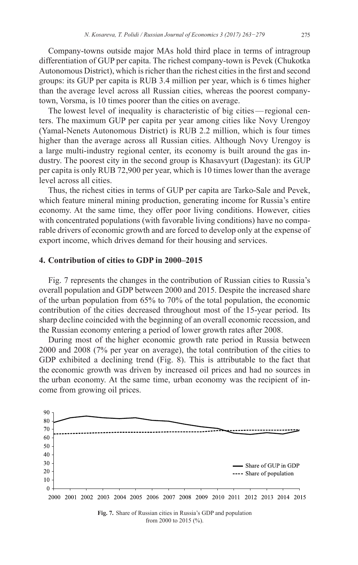Company-towns outside major MAs hold third place in terms of intragroup differentiation of GUP per capita. The richest company-town is Pevek (Chukotka Autonomous District), which is richer than the richest cities in the first and second groups: its GUP per capita is RUB 3.4 million per year, which is 6 times higher than the average level across all Russian cities, whereas the poorest companytown, Vorsma, is 10 times poorer than the cities on average.

The lowest level of inequality is characteristic of big cities—regional centers. The maximum GUP per capita per year among cities like Novy Urengoy (Yamal-Nenets Autonomous District) is RUB 2.2 million, which is four times higher than the average across all Russian cities. Although Novy Urengoy is a large multi-industry regional center, its economy is built around the gas industry. The poorest city in the second group is Khasavyurt (Dagestan): its GUP per capita is only RUB 72,900 per year, which is 10 times lower than the average level across all cities.

Thus, the richest cities in terms of GUP per capita are Tarko-Sale and Pevek, which feature mineral mining production, generating income for Russia's entire economy. At the same time, they offer poor living conditions. However, cities with concentrated populations (with favorable living conditions) have no comparable drivers of economic growth and are forced to develop only at the expense of export income, which drives demand for their housing and services.

## **4. Contribution of cities to GDP in 2000–2015**

Fig. 7 represents the changes in the contribution of Russian cities to Russia's overall population and GDP between 2000 and 2015. Despite the increased share of the urban population from 65% to 70% of the total population, the economic contribution of the cities decreased throughout most of the 15-year period. Its sharp decline coincided with the beginning of an overall economic recession, and the Russian economy entering a period of lower growth rates after 2008.

During most of the higher economic growth rate period in Russia between 2000 and 2008 (7% per year on average), the total contribution of the cities to GDP exhibited a declining trend (Fig. 8). This is attributable to the fact that the economic growth was driven by increased oil prices and had no sources in the urban economy. At the same time, urban economy was the recipient of income from growing oil prices.



from 2000 to 2015 (%).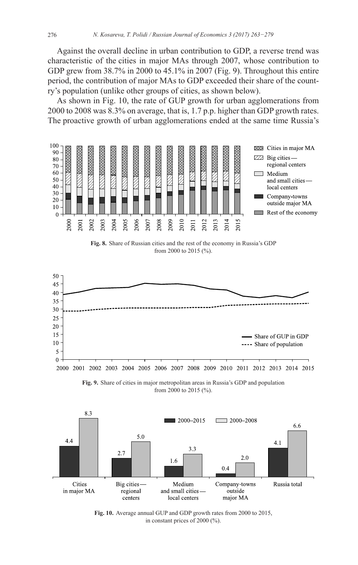Against the overall decline in urban contribution to GDP, a reverse trend was characteristic of the cities in major MAs through 2007, whose contribution to GDP grew from 38.7% in 2000 to 45.1% in 2007 (Fig. 9). Throughout this entire period, the contribution of major MAs to GDP exceeded their share of the country's population (unlike other groups of cities, as shown below).

As shown in Fig. 10, the rate of GUP growth for urban agglomerations from 2000 to 2008 was 8.3% on average, that is, 1.7 p.p. higher than GDP growth rates. The proactive growth of urban agglomerations ended at the same time Russia's



**Fig. 8.** Share of Russian cities and the rest of the economy in Russia's GDP from 2000 to 2015 (%).







**Fig. 10.** Average annual GUP and GDP growth rates from 2000 to 2015, in constant prices of 2000 (%).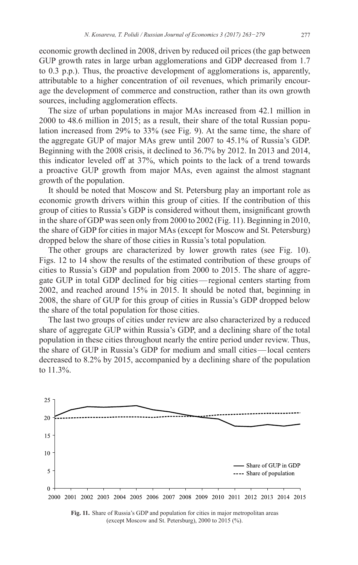economic growth declined in 2008, driven by reduced oil prices (the gap between GUP growth rates in large urban agglomerations and GDP decreased from 1.7 to 0.3 p.p.). Thus, the proactive development of agglomerations is, apparently, attributable to a higher concentration of oil revenues, which primarily encourage the development of commerce and construction, rather than its own growth sources, including agglomeration effects.

The size of urban populations in major MAs increased from 42.1 million in 2000 to 48.6 million in 2015; as a result, their share of the total Russian population increased from 29% to 33% (see Fig. 9). At the same time, the share of the aggregate GUP of major MAs grew until 2007 to 45.1% of Russia's GDP. Beginning with the 2008 crisis, it declined to 36.7% by 2012. In 2013 and 2014, this indicator leveled off at 37%, which points to the lack of a trend towards a proactive GUP growth from major MAs, even against the almost stagnant growth of the population.

It should be noted that Moscow and St. Petersburg play an important role as economic growth drivers within this group of cities. If the contribution of this group of cities to Russia's GDP is considered without them, insignificant growth in the share of GDP was seen only from 2000 to 2002 (Fig. 11). Beginning in 2010, the share of GDP for cities in major MAs (except for Moscow and St. Petersburg) dropped below the share of those cities in Russia's total population*.*

The other groups are characterized by lower growth rates (see Fig. 10). Figs. 12 to 14 show the results of the estimated contribution of these groups of cities to Russia's GDP and population from 2000 to 2015. The share of aggregate GUP in total GDP declined for big cities—regional centers starting from 2002, and reached around 15% in 2015. It should be noted that, beginning in 2008, the share of GUP for this group of cities in Russia's GDP dropped below the share of the total population for those cities.

The last two groups of cities under review are also characterized by a reduced share of aggregate GUP within Russia's GDP, and a declining share of the total population in these cities throughout nearly the entire period under review. Thus, the share of GUP in Russia's GDP for medium and small cities—local centers decreased to 8.2% by 2015, accompanied by a declining share of the population to 11.3%.



**Fig. 11.** Share of Russia's GDP and population for cities in major metropolitan areas (except Moscow and St. Petersburg), 2000 to 2015 (%).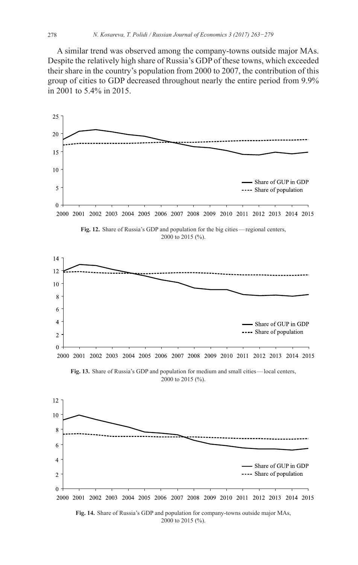A similar trend was observed among the company-towns outside major MAs. Despite the relatively high share of Russia's GDP of these towns, which exceeded their share in the country's population from 2000 to 2007, the contribution of this group of cities to GDP decreased throughout nearly the entire period from 9.9% in 2001 to 5.4% in 2015.